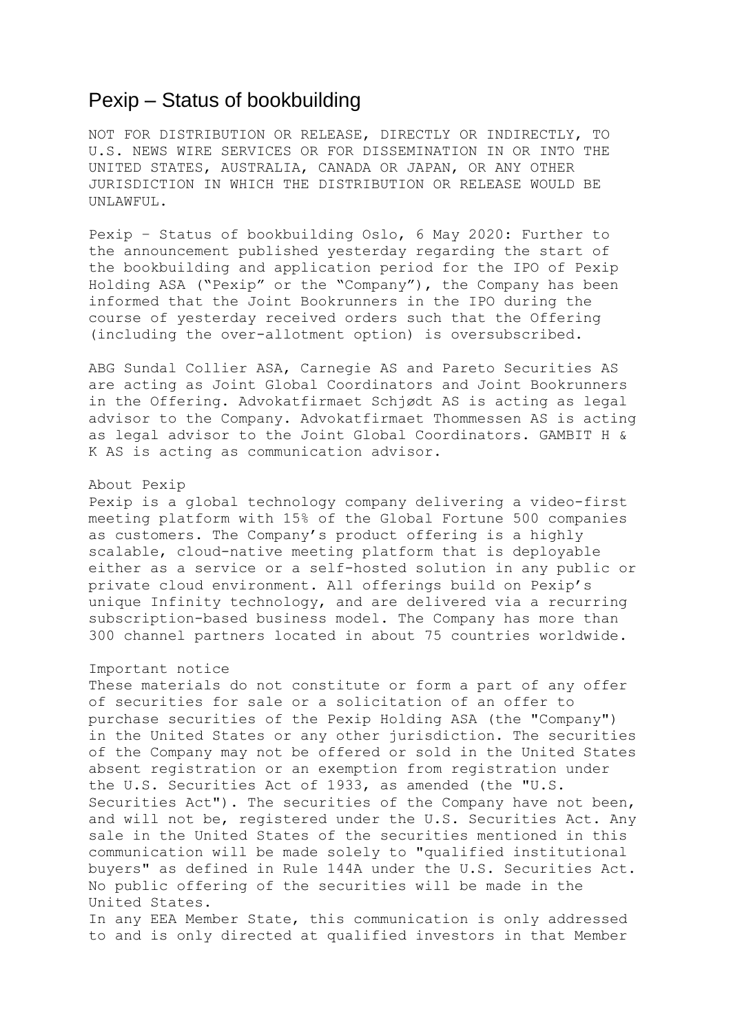## Pexip – Status of bookbuilding

NOT FOR DISTRIBUTION OR RELEASE, DIRECTLY OR INDIRECTLY, TO U.S. NEWS WIRE SERVICES OR FOR DISSEMINATION IN OR INTO THE UNITED STATES, AUSTRALIA, CANADA OR JAPAN, OR ANY OTHER JURISDICTION IN WHICH THE DISTRIBUTION OR RELEASE WOULD BE UNLAWFUL.

Pexip – Status of bookbuilding Oslo, 6 May 2020: Further to the announcement published yesterday regarding the start of the bookbuilding and application period for the IPO of Pexip Holding ASA ("Pexip" or the "Company"), the Company has been informed that the Joint Bookrunners in the IPO during the course of yesterday received orders such that the Offering (including the over-allotment option) is oversubscribed.

ABG Sundal Collier ASA, Carnegie AS and Pareto Securities AS are acting as Joint Global Coordinators and Joint Bookrunners in the Offering. Advokatfirmaet Schjødt AS is acting as legal advisor to the Company. Advokatfirmaet Thommessen AS is acting as legal advisor to the Joint Global Coordinators. GAMBIT H & K AS is acting as communication advisor.

## About Pexip

Pexip is a global technology company delivering a video-first meeting platform with 15% of the Global Fortune 500 companies as customers. The Company's product offering is a highly scalable, cloud-native meeting platform that is deployable either as a service or a self-hosted solution in any public or private cloud environment. All offerings build on Pexip's unique Infinity technology, and are delivered via a recurring subscription-based business model. The Company has more than 300 channel partners located in about 75 countries worldwide.

## Important notice

These materials do not constitute or form a part of any offer of securities for sale or a solicitation of an offer to purchase securities of the Pexip Holding ASA (the "Company") in the United States or any other jurisdiction. The securities of the Company may not be offered or sold in the United States absent registration or an exemption from registration under the U.S. Securities Act of 1933, as amended (the "U.S. Securities Act"). The securities of the Company have not been, and will not be, registered under the U.S. Securities Act. Any sale in the United States of the securities mentioned in this communication will be made solely to "qualified institutional buyers" as defined in Rule 144A under the U.S. Securities Act. No public offering of the securities will be made in the United States.

In any EEA Member State, this communication is only addressed to and is only directed at qualified investors in that Member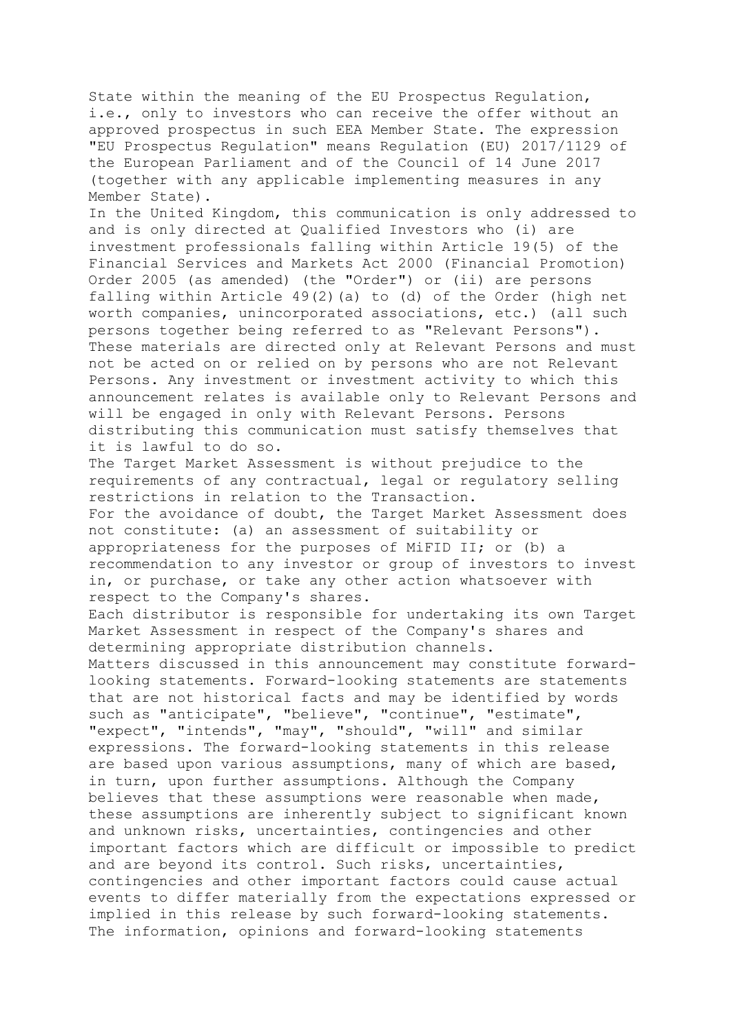State within the meaning of the EU Prospectus Regulation, i.e., only to investors who can receive the offer without an approved prospectus in such EEA Member State. The expression "EU Prospectus Regulation" means Regulation (EU) 2017/1129 of the European Parliament and of the Council of 14 June 2017 (together with any applicable implementing measures in any Member State).

In the United Kingdom, this communication is only addressed to and is only directed at Qualified Investors who (i) are investment professionals falling within Article 19(5) of the Financial Services and Markets Act 2000 (Financial Promotion) Order 2005 (as amended) (the "Order") or (ii) are persons falling within Article 49(2)(a) to (d) of the Order (high net worth companies, unincorporated associations, etc.) (all such persons together being referred to as "Relevant Persons"). These materials are directed only at Relevant Persons and must not be acted on or relied on by persons who are not Relevant Persons. Any investment or investment activity to which this announcement relates is available only to Relevant Persons and will be engaged in only with Relevant Persons. Persons distributing this communication must satisfy themselves that it is lawful to do so.

The Target Market Assessment is without prejudice to the requirements of any contractual, legal or regulatory selling restrictions in relation to the Transaction. For the avoidance of doubt, the Target Market Assessment does not constitute: (a) an assessment of suitability or appropriateness for the purposes of MiFID II; or (b) a recommendation to any investor or group of investors to invest in, or purchase, or take any other action whatsoever with respect to the Company's shares.

Each distributor is responsible for undertaking its own Target Market Assessment in respect of the Company's shares and determining appropriate distribution channels.

Matters discussed in this announcement may constitute forwardlooking statements. Forward-looking statements are statements that are not historical facts and may be identified by words such as "anticipate", "believe", "continue", "estimate", "expect", "intends", "may", "should", "will" and similar expressions. The forward-looking statements in this release are based upon various assumptions, many of which are based, in turn, upon further assumptions. Although the Company believes that these assumptions were reasonable when made, these assumptions are inherently subject to significant known and unknown risks, uncertainties, contingencies and other important factors which are difficult or impossible to predict and are beyond its control. Such risks, uncertainties, contingencies and other important factors could cause actual events to differ materially from the expectations expressed or implied in this release by such forward-looking statements. The information, opinions and forward-looking statements